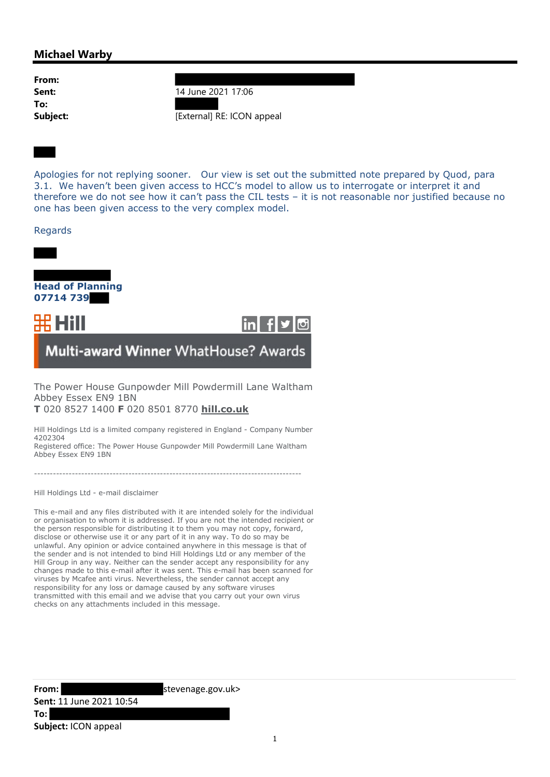## Michael Warby

From: To:

**Sent:** 14 June 2021 17:06 Subject: [External] RE: ICON appeal

Apologies for not replying sooner. Our view is set out the submitted note prepared by Quod, para 3.1. We haven't been given access to HCC's model to allow us to interrogate or interpret it and therefore we do not see how it can't pass the CIL tests – it is not reasonable nor justified because no one has been given access to the very complex model.

## Regards





Multi-award Winner WhatHouse? Awards

The Power House Gunpowder Mill Powdermill Lane Waltham Abbey Essex EN9 1BN T 020 8527 1400 F 020 8501 8770 hill.co.uk

Hill Holdings Ltd is a limited company registered in England - Company Number 4202304

Registered office: The Power House Gunpowder Mill Powdermill Lane Waltham Abbey Essex EN9 1BN

-------------------------------------------------------------------------------------

Hill Holdings Ltd - e-mail disclaimer

This e-mail and any files distributed with it are intended solely for the individual or organisation to whom it is addressed. If you are not the intended recipient or the person responsible for distributing it to them you may not copy, forward, disclose or otherwise use it or any part of it in any way. To do so may be unlawful. Any opinion or advice contained anywhere in this message is that of the sender and is not intended to bind Hill Holdings Ltd or any member of the Hill Group in any way. Neither can the sender accept any responsibility for any changes made to this e-mail after it was sent. This e-mail has been scanned for viruses by Mcafee anti virus. Nevertheless, the sender cannot accept any responsibility for any loss or damage caused by any software viruses transmitted with this email and we advise that you carry out your own virus checks on any attachments included in this message.

From: stevenage.gov.uk>

Sent: 11 June 2021 10:54 To: Subject: ICON appeal